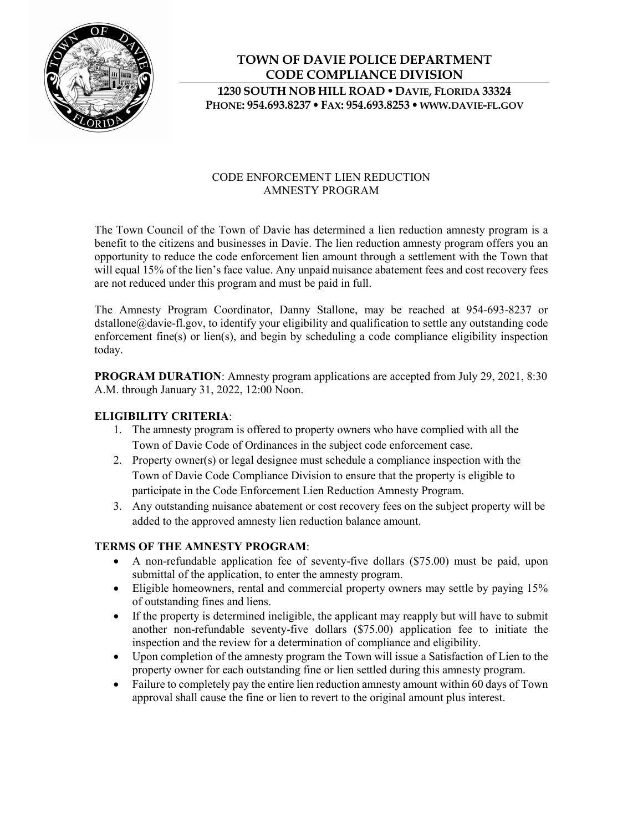

## **TOWN OF DAVIE POLICE DEPARTMENT CODE COMPLIANCE DIVISION 1230 SOUTH NOB HILL ROAD DAVIE, FLORIDA 33324 PHONE: 954.693.8237 FAX: 954.693.8253 WWW.DAVIE-FL.GOV**

#### CODE ENFORCEMENT LIEN REDUCTION AMNESTY PROGRAM

The Town Council of the Town of Davie has determined a lien reduction amnesty program is a benefit to the citizens and businesses in Davie. The lien reduction amnesty program offers you an opportunity to reduce the code enforcement lien amount through a settlement with the Town that will equal 15% of the lien's face value. Any unpaid nuisance abatement fees and cost recovery fees are not reduced under this program and must be paid in full.

The Amnesty Program Coordinator, Danny Stallone, may be reached at 954-693-8237 or dstallone@davie-fl.gov, to identify your eligibility and qualification to settle any outstanding code enforcement fine(s) or lien(s), and begin by scheduling a code compliance eligibility inspection today.

**PROGRAM DURATION**: Amnesty program applications are accepted from July 29, 2021, 8:30 A.M. through January 31, 2022, 12:00 Noon.

#### **ELIGIBILITY CRITERIA**:

- 1. The amnesty program is offered to property owners who have complied with all the Town of Davie Code of Ordinances in the subject code enforcement case.
- 2. Property owner(s) or legal designee must schedule a compliance inspection with the Town of Davie Code Compliance Division to ensure that the property is eligible to participate in the Code Enforcement Lien Reduction Amnesty Program.
- 3. Any outstanding nuisance abatement or cost recovery fees on the subject property will be added to the approved amnesty lien reduction balance amount.

#### **TERMS OF THE AMNESTY PROGRAM**:

- A non-refundable application fee of seventy-five dollars (\$75.00) must be paid, upon submittal of the application, to enter the amnesty program.
- Eligible homeowners, rental and commercial property owners may settle by paying 15% of outstanding fines and liens.
- If the property is determined ineligible, the applicant may reapply but will have to submit another non-refundable seventy-five dollars (\$75.00) application fee to initiate the inspection and the review for a determination of compliance and eligibility.
- Upon completion of the amnesty program the Town will issue a Satisfaction of Lien to the property owner for each outstanding fine or lien settled during this amnesty program.
- Failure to completely pay the entire lien reduction amnesty amount within 60 days of Town approval shall cause the fine or lien to revert to the original amount plus interest.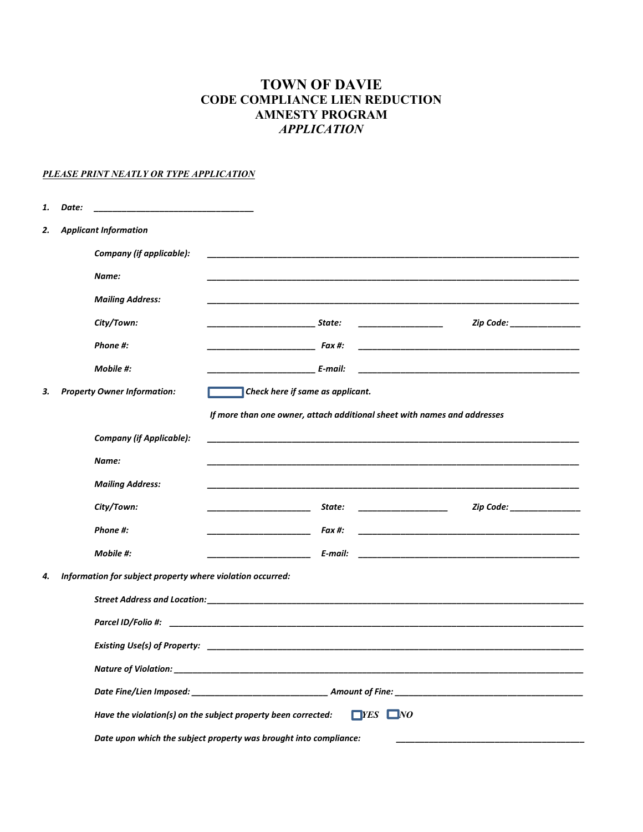## **TOWN OF DAVIE CODE COMPLIANCE LIEN REDUCTION AMNESTY PROGRAM**  *APPLICATION*

#### *PLEASE PRINT NEATLY OR TYPE APPLICATION*

| 1. | Date: |                                                            |                                                                                                                                                                     |
|----|-------|------------------------------------------------------------|---------------------------------------------------------------------------------------------------------------------------------------------------------------------|
| 2. |       | <b>Applicant Information</b>                               |                                                                                                                                                                     |
|    |       | Company (if applicable):                                   |                                                                                                                                                                     |
|    |       | Name:                                                      |                                                                                                                                                                     |
|    |       | <b>Mailing Address:</b>                                    |                                                                                                                                                                     |
|    |       | City/Town:                                                 | Zip Code: _______________<br><i>State:</i><br><u> 1989 - Johann Barn, mars and de Branch Barn, mars and de Branch Barn, mars and de Branch Barn, mars and de Br</u> |
|    |       | Phone #:                                                   | $Fax \#$                                                                                                                                                            |
|    |       | Mobile #:                                                  |                                                                                                                                                                     |
| З. |       | <b>Property Owner Information:</b>                         | Check here if same as applicant.                                                                                                                                    |
|    |       |                                                            | If more than one owner, attach additional sheet with names and addresses                                                                                            |
|    |       | <b>Company (if Applicable):</b>                            |                                                                                                                                                                     |
|    |       | Name:                                                      |                                                                                                                                                                     |
|    |       | <b>Mailing Address:</b>                                    |                                                                                                                                                                     |
|    |       | City/Town:                                                 | Zip Code: The Collection of the Collection of the Collection of the Collection of the Collection of the Collect<br>State:                                           |
|    |       | Phone #:                                                   | Fax #:                                                                                                                                                              |
|    |       | Mobile #:                                                  | E-mail:                                                                                                                                                             |
| 4. |       | Information for subject property where violation occurred: |                                                                                                                                                                     |
|    |       |                                                            |                                                                                                                                                                     |
|    |       |                                                            |                                                                                                                                                                     |
|    |       |                                                            |                                                                                                                                                                     |
|    |       |                                                            |                                                                                                                                                                     |
|    |       |                                                            |                                                                                                                                                                     |
|    |       |                                                            | $\Box$ <i>YES</i> $\Box$ <i>NO</i><br>Have the violation(s) on the subject property been corrected:                                                                 |
|    |       |                                                            | Date upon which the subject property was brought into compliance:                                                                                                   |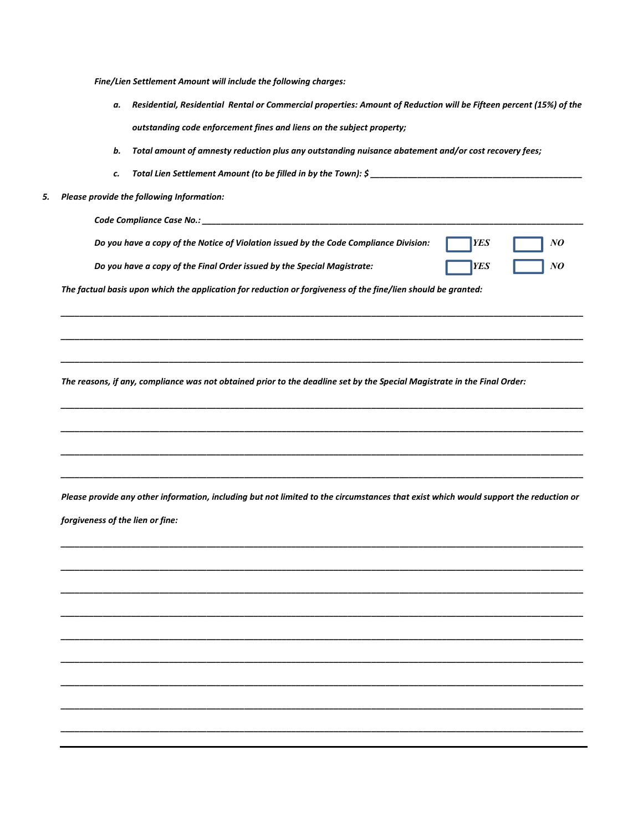*Fine/Lien Settlement Amount will include the following charges:* 

- *a. Residential, Residential Rental or Commercial properties: Amount of Reduction will be Fifteen percent (15%) of the outstanding code enforcement fines and liens on the subject property;*
- *b. Total amount of amnesty reduction plus any outstanding nuisance abatement and/or cost recovery fees;*
- *c. Total Lien Settlement Amount (to be filled in by the Town): \$ \_\_\_\_\_\_\_\_\_\_\_\_\_\_\_\_\_\_\_\_\_\_\_\_\_\_\_\_\_\_\_\_\_\_\_\_\_\_\_\_\_\_\_\_\_*
- *5. Please provide the following Information:*

| Code Compliance Case No.:                                                                                     |  |  |  |  |
|---------------------------------------------------------------------------------------------------------------|--|--|--|--|
| Do you have a copy of the Notice of Violation issued by the Code Compliance Division:                         |  |  |  |  |
| Do you have a copy of the Final Order issued by the Special Magistrate:                                       |  |  |  |  |
| The factual basis upon which the application for reduction or forgiveness of the fine/lien should be granted: |  |  |  |  |

*\_\_\_\_\_\_\_\_\_\_\_\_\_\_\_\_\_\_\_\_\_\_\_\_\_\_\_\_\_\_\_\_\_\_\_\_\_\_\_\_\_\_\_\_\_\_\_\_\_\_\_\_\_\_\_\_\_\_\_\_\_\_\_\_\_\_\_\_\_\_\_\_\_\_\_\_\_\_\_\_\_\_\_\_\_\_\_\_\_\_\_\_\_\_\_\_\_\_\_\_\_\_\_\_\_\_\_\_\_\_\_*

*\_\_\_\_\_\_\_\_\_\_\_\_\_\_\_\_\_\_\_\_\_\_\_\_\_\_\_\_\_\_\_\_\_\_\_\_\_\_\_\_\_\_\_\_\_\_\_\_\_\_\_\_\_\_\_\_\_\_\_\_\_\_\_\_\_\_\_\_\_\_\_\_\_\_\_\_\_\_\_\_\_\_\_\_\_\_\_\_\_\_\_\_\_\_\_\_\_\_\_\_\_\_\_\_\_\_\_\_\_\_\_*

*\_\_\_\_\_\_\_\_\_\_\_\_\_\_\_\_\_\_\_\_\_\_\_\_\_\_\_\_\_\_\_\_\_\_\_\_\_\_\_\_\_\_\_\_\_\_\_\_\_\_\_\_\_\_\_\_\_\_\_\_\_\_\_\_\_\_\_\_\_\_\_\_\_\_\_\_\_\_\_\_\_\_\_\_\_\_\_\_\_\_\_\_\_\_\_\_\_\_\_\_\_\_\_\_\_\_\_\_\_\_\_* 

*\_\_\_\_\_\_\_\_\_\_\_\_\_\_\_\_\_\_\_\_\_\_\_\_\_\_\_\_\_\_\_\_\_\_\_\_\_\_\_\_\_\_\_\_\_\_\_\_\_\_\_\_\_\_\_\_\_\_\_\_\_\_\_\_\_\_\_\_\_\_\_\_\_\_\_\_\_\_\_\_\_\_\_\_\_\_\_\_\_\_\_\_\_\_\_\_\_\_\_\_\_\_\_\_\_\_\_\_\_\_\_*

*\_\_\_\_\_\_\_\_\_\_\_\_\_\_\_\_\_\_\_\_\_\_\_\_\_\_\_\_\_\_\_\_\_\_\_\_\_\_\_\_\_\_\_\_\_\_\_\_\_\_\_\_\_\_\_\_\_\_\_\_\_\_\_\_\_\_\_\_\_\_\_\_\_\_\_\_\_\_\_\_\_\_\_\_\_\_\_\_\_\_\_\_\_\_\_\_\_\_\_\_\_\_\_\_\_\_\_\_\_\_\_*

*\_\_\_\_\_\_\_\_\_\_\_\_\_\_\_\_\_\_\_\_\_\_\_\_\_\_\_\_\_\_\_\_\_\_\_\_\_\_\_\_\_\_\_\_\_\_\_\_\_\_\_\_\_\_\_\_\_\_\_\_\_\_\_\_\_\_\_\_\_\_\_\_\_\_\_\_\_\_\_\_\_\_\_\_\_\_\_\_\_\_\_\_\_\_\_\_\_\_\_\_\_\_\_\_\_\_\_\_\_\_\_*

*\_\_\_\_\_\_\_\_\_\_\_\_\_\_\_\_\_\_\_\_\_\_\_\_\_\_\_\_\_\_\_\_\_\_\_\_\_\_\_\_\_\_\_\_\_\_\_\_\_\_\_\_\_\_\_\_\_\_\_\_\_\_\_\_\_\_\_\_\_\_\_\_\_\_\_\_\_\_\_\_\_\_\_\_\_\_\_\_\_\_\_\_\_\_\_\_\_\_\_\_\_\_\_\_\_\_\_\_\_\_\_* 

*The reasons, if any, compliance was not obtained prior to the deadline set by the Special Magistrate in the Final Order:* 

*Please provide any other information, including but not limited to the circumstances that exist which would support the reduction or forgiveness of the lien or fine:* 

*\_\_\_\_\_\_\_\_\_\_\_\_\_\_\_\_\_\_\_\_\_\_\_\_\_\_\_\_\_\_\_\_\_\_\_\_\_\_\_\_\_\_\_\_\_\_\_\_\_\_\_\_\_\_\_\_\_\_\_\_\_\_\_\_\_\_\_\_\_\_\_\_\_\_\_\_\_\_\_\_\_\_\_\_\_\_\_\_\_\_\_\_\_\_\_\_\_\_\_\_\_\_\_\_\_\_\_\_\_\_\_*

*\_\_\_\_\_\_\_\_\_\_\_\_\_\_\_\_\_\_\_\_\_\_\_\_\_\_\_\_\_\_\_\_\_\_\_\_\_\_\_\_\_\_\_\_\_\_\_\_\_\_\_\_\_\_\_\_\_\_\_\_\_\_\_\_\_\_\_\_\_\_\_\_\_\_\_\_\_\_\_\_\_\_\_\_\_\_\_\_\_\_\_\_\_\_\_\_\_\_\_\_\_\_\_\_\_\_\_\_\_\_\_* 

*\_\_\_\_\_\_\_\_\_\_\_\_\_\_\_\_\_\_\_\_\_\_\_\_\_\_\_\_\_\_\_\_\_\_\_\_\_\_\_\_\_\_\_\_\_\_\_\_\_\_\_\_\_\_\_\_\_\_\_\_\_\_\_\_\_\_\_\_\_\_\_\_\_\_\_\_\_\_\_\_\_\_\_\_\_\_\_\_\_\_\_\_\_\_\_\_\_\_\_\_\_\_\_\_\_\_\_\_\_\_\_*

*\_\_\_\_\_\_\_\_\_\_\_\_\_\_\_\_\_\_\_\_\_\_\_\_\_\_\_\_\_\_\_\_\_\_\_\_\_\_\_\_\_\_\_\_\_\_\_\_\_\_\_\_\_\_\_\_\_\_\_\_\_\_\_\_\_\_\_\_\_\_\_\_\_\_\_\_\_\_\_\_\_\_\_\_\_\_\_\_\_\_\_\_\_\_\_\_\_\_\_\_\_\_\_\_\_\_\_\_\_\_\_*

*\_\_\_\_\_\_\_\_\_\_\_\_\_\_\_\_\_\_\_\_\_\_\_\_\_\_\_\_\_\_\_\_\_\_\_\_\_\_\_\_\_\_\_\_\_\_\_\_\_\_\_\_\_\_\_\_\_\_\_\_\_\_\_\_\_\_\_\_\_\_\_\_\_\_\_\_\_\_\_\_\_\_\_\_\_\_\_\_\_\_\_\_\_\_\_\_\_\_\_\_\_\_\_\_\_\_\_\_\_\_\_*

*\_\_\_\_\_\_\_\_\_\_\_\_\_\_\_\_\_\_\_\_\_\_\_\_\_\_\_\_\_\_\_\_\_\_\_\_\_\_\_\_\_\_\_\_\_\_\_\_\_\_\_\_\_\_\_\_\_\_\_\_\_\_\_\_\_\_\_\_\_\_\_\_\_\_\_\_\_\_\_\_\_\_\_\_\_\_\_\_\_\_\_\_\_\_\_\_\_\_\_\_\_\_\_\_\_\_\_\_\_\_\_* 

*\_\_\_\_\_\_\_\_\_\_\_\_\_\_\_\_\_\_\_\_\_\_\_\_\_\_\_\_\_\_\_\_\_\_\_\_\_\_\_\_\_\_\_\_\_\_\_\_\_\_\_\_\_\_\_\_\_\_\_\_\_\_\_\_\_\_\_\_\_\_\_\_\_\_\_\_\_\_\_\_\_\_\_\_\_\_\_\_\_\_\_\_\_\_\_\_\_\_\_\_\_\_\_\_\_\_\_\_\_\_\_*

*\_\_\_\_\_\_\_\_\_\_\_\_\_\_\_\_\_\_\_\_\_\_\_\_\_\_\_\_\_\_\_\_\_\_\_\_\_\_\_\_\_\_\_\_\_\_\_\_\_\_\_\_\_\_\_\_\_\_\_\_\_\_\_\_\_\_\_\_\_\_\_\_\_\_\_\_\_\_\_\_\_\_\_\_\_\_\_\_\_\_\_\_\_\_\_\_\_\_\_\_\_\_\_\_\_\_\_\_\_\_\_* 

*\_\_\_\_\_\_\_\_\_\_\_\_\_\_\_\_\_\_\_\_\_\_\_\_\_\_\_\_\_\_\_\_\_\_\_\_\_\_\_\_\_\_\_\_\_\_\_\_\_\_\_\_\_\_\_\_\_\_\_\_\_\_\_\_\_\_\_\_\_\_\_\_\_\_\_\_\_\_\_\_\_\_\_\_\_\_\_\_\_\_\_\_\_\_\_\_\_\_\_\_\_\_\_\_\_\_\_\_\_\_\_*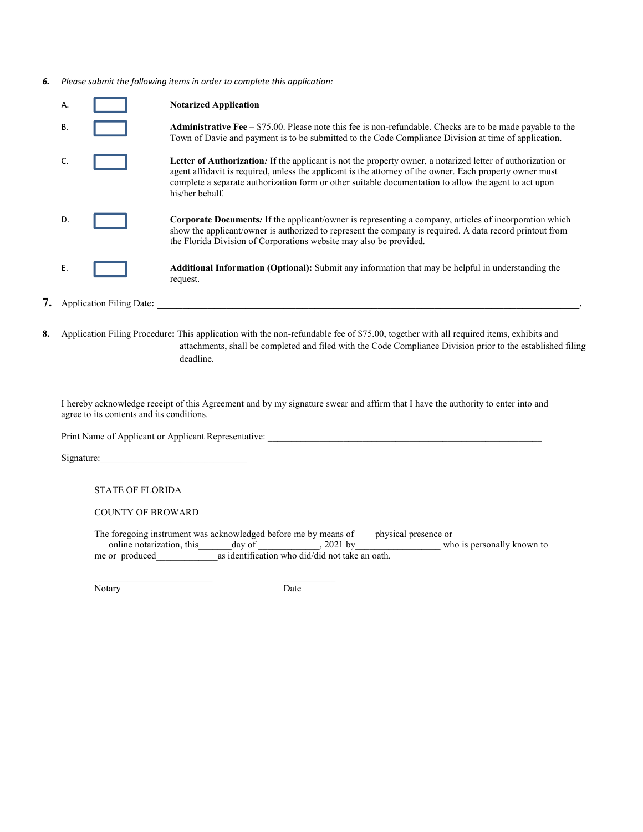*6. Please submit the following items in order to complete this application:*

| Α. |                                 | <b>Notarized Application</b>                                                                                                                                                                                                                                                                                                                        |
|----|---------------------------------|-----------------------------------------------------------------------------------------------------------------------------------------------------------------------------------------------------------------------------------------------------------------------------------------------------------------------------------------------------|
| В. |                                 | <b>Administrative Fee</b> – \$75.00. Please note this fee is non-refundable. Checks are to be made payable to the<br>Town of Davie and payment is to be submitted to the Code Compliance Division at time of application.                                                                                                                           |
|    |                                 | Letter of Authorization. If the applicant is not the property owner, a notarized letter of authorization or<br>agent affidavit is required, unless the applicant is the attorney of the owner. Each property owner must<br>complete a separate authorization form or other suitable documentation to allow the agent to act upon<br>his/her behalf. |
| D. |                                 | <b>Corporate Documents:</b> If the applicant/owner is representing a company, articles of incorporation which<br>show the applicant/owner is authorized to represent the company is required. A data record printout from<br>the Florida Division of Corporations website may also be provided.                                                     |
| Ε. |                                 | <b>Additional Information (Optional):</b> Submit any information that may be helpful in understanding the<br>request.                                                                                                                                                                                                                               |
|    | <b>Application Filing Date:</b> |                                                                                                                                                                                                                                                                                                                                                     |

**8.** Application Filing Procedure**:** This application with the non-refundable fee of \$75.00, together with all required items, exhibits and attachments, shall be completed and filed with the Code Compliance Division prior to the established filing deadline.

I hereby acknowledge receipt of this Agreement and by my signature swear and affirm that I have the authority to enter into and agree to its contents and its conditions.

Print Name of Applicant or Applicant Representative: \_\_\_\_\_\_\_\_\_\_\_\_\_\_\_\_\_\_\_\_\_\_\_\_\_\_\_\_

\_\_\_\_\_\_\_\_\_\_\_\_\_\_\_\_\_\_\_\_\_\_\_\_\_ \_\_\_\_\_\_\_\_\_\_\_

Signature:

STATE OF FLORIDA

COUNTY OF BROWARD

The foregoing instrument was acknowledged before me by means of physical presence or online notarization, this and day of subsequence or physical presence or online notarization, this and any of subsequence or  $\frac{2021 \text{ by$ online notarization, this \_\_\_\_\_\_\_\_\_day of \_\_\_\_\_\_\_\_\_\_\_\_\_, 2021 by \_\_\_\_\_\_\_\_\_\_\_\_\_\_\_\_\_\_\_\_\_\_ who is personally known to me or produced as identification who did/did not take an oath.  $\frac{m}{\sqrt{m}}$  as identification who did/did not take an oath.

Notary Date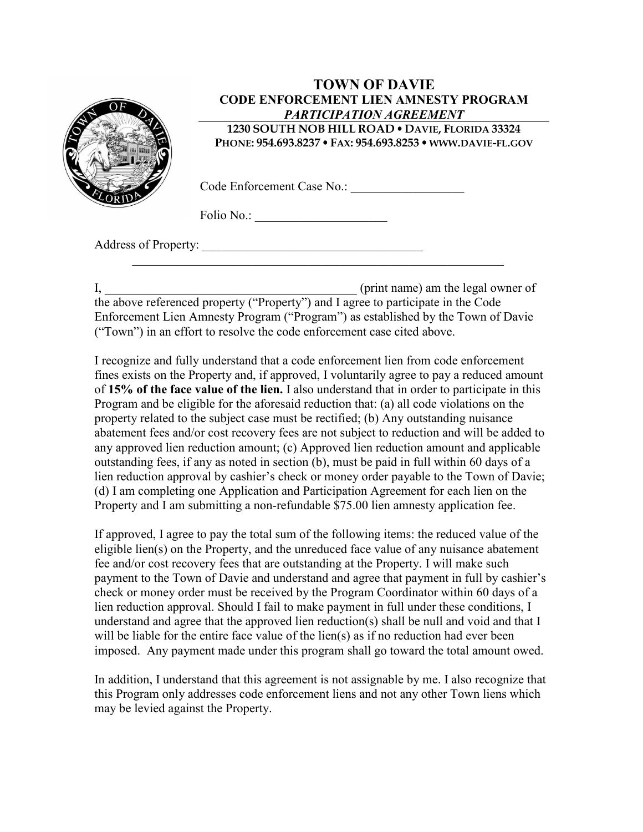

### **TOWN OF DAVIE CODE ENFORCEMENT LIEN AMNESTY PROGRAM**  *PARTICIPATION AGREEMENT*  **1230 SOUTH NOB HILL ROAD DAVIE, FLORIDA 33324**

**PHONE: 954.693.8237 FAX: 954.693.8253 WWW.DAVIE-FL.GOV**

Code Enforcement Case No.:

Folio No.: \_\_\_\_\_\_\_\_\_\_\_\_\_\_\_\_\_\_\_\_\_

Address of Property: \_\_\_\_\_\_\_\_\_\_\_\_\_\_\_\_\_\_\_\_\_\_\_\_\_\_\_\_\_\_\_\_\_\_\_

I, \_\_\_\_\_\_\_\_\_\_\_\_\_\_\_\_\_\_\_\_\_\_\_\_\_\_\_\_\_\_\_\_\_\_\_\_\_\_\_\_ (print name) am the legal owner of the above referenced property ("Property") and I agree to participate in the Code Enforcement Lien Amnesty Program ("Program") as established by the Town of Davie ("Town") in an effort to resolve the code enforcement case cited above.

 $\_$  , and the set of the set of the set of the set of the set of the set of the set of the set of the set of the set of the set of the set of the set of the set of the set of the set of the set of the set of the set of th

I recognize and fully understand that a code enforcement lien from code enforcement fines exists on the Property and, if approved, I voluntarily agree to pay a reduced amount of **15% of the face value of the lien.** I also understand that in order to participate in this Program and be eligible for the aforesaid reduction that: (a) all code violations on the property related to the subject case must be rectified; (b) Any outstanding nuisance abatement fees and/or cost recovery fees are not subject to reduction and will be added to any approved lien reduction amount; (c) Approved lien reduction amount and applicable outstanding fees, if any as noted in section (b), must be paid in full within 60 days of a lien reduction approval by cashier's check or money order payable to the Town of Davie; (d) I am completing one Application and Participation Agreement for each lien on the Property and I am submitting a non-refundable \$75.00 lien amnesty application fee.

If approved, I agree to pay the total sum of the following items: the reduced value of the eligible lien(s) on the Property, and the unreduced face value of any nuisance abatement fee and/or cost recovery fees that are outstanding at the Property. I will make such payment to the Town of Davie and understand and agree that payment in full by cashier's check or money order must be received by the Program Coordinator within 60 days of a lien reduction approval. Should I fail to make payment in full under these conditions, I understand and agree that the approved lien reduction(s) shall be null and void and that I will be liable for the entire face value of the lien(s) as if no reduction had ever been imposed. Any payment made under this program shall go toward the total amount owed.

In addition, I understand that this agreement is not assignable by me. I also recognize that this Program only addresses code enforcement liens and not any other Town liens which may be levied against the Property.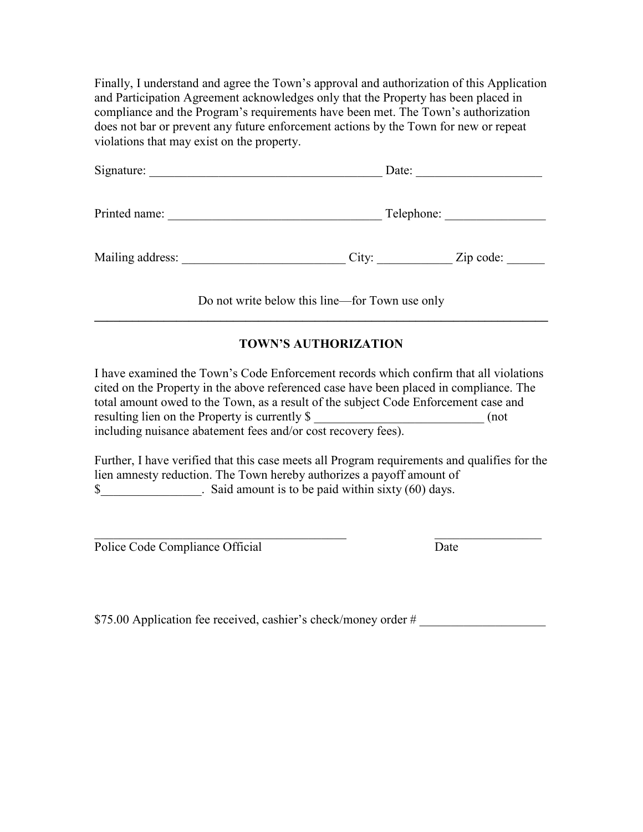Finally, I understand and agree the Town's approval and authorization of this Application and Participation Agreement acknowledges only that the Property has been placed in compliance and the Program's requirements have been met. The Town's authorization does not bar or prevent any future enforcement actions by the Town for new or repeat violations that may exist on the property.

| Signature:       | Date:      |           |  |
|------------------|------------|-----------|--|
| Printed name:    | Telephone: |           |  |
| Mailing address: | City:      | Zip code: |  |

Do not write below this line—for Town use only **\_\_\_\_\_\_\_\_\_\_\_\_\_\_\_\_\_\_\_\_\_\_\_\_\_\_\_\_\_\_\_\_\_\_\_\_\_\_\_\_\_\_\_\_\_\_\_\_\_\_\_\_\_\_\_\_\_\_\_\_\_\_\_\_\_\_\_\_\_\_\_\_** 

## **TOWN'S AUTHORIZATION**

I have examined the Town's Code Enforcement records which confirm that all violations cited on the Property in the above referenced case have been placed in compliance. The total amount owed to the Town, as a result of the subject Code Enforcement case and resulting lien on the Property is currently \$  $($ not including nuisance abatement fees and/or cost recovery fees).

Further, I have verified that this case meets all Program requirements and qualifies for the lien amnesty reduction. The Town hereby authorizes a payoff amount of \$

 $\_$  , and the set of the set of the set of the set of the set of the set of the set of the set of the set of the set of the set of the set of the set of the set of the set of the set of the set of the set of the set of th

Police Code Compliance Official Date

\$75.00 Application fee received, cashier's check/money order #